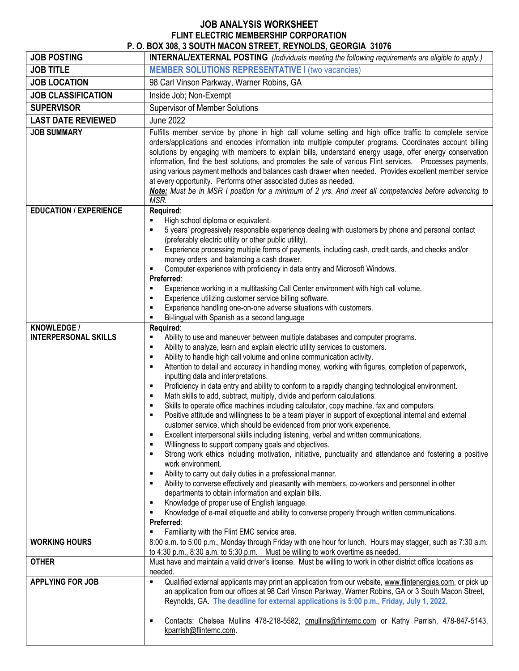## **JOB ANALYSIS WORKSHEET FLINT ELECTRIC MEMBERSHIP CORPORATION P. O. BOX 308, 3 SOUTH MACON STREET, REYNOLDS, GEORGIA 31076**

|                                            | P. U. DUA 300, 3 SUUTH MACUN STREET, RETNULDS, GEURGIA 31070                                                                                                                                                                                                                                                                                                                                                                                                                                                                                                                                                                     |
|--------------------------------------------|----------------------------------------------------------------------------------------------------------------------------------------------------------------------------------------------------------------------------------------------------------------------------------------------------------------------------------------------------------------------------------------------------------------------------------------------------------------------------------------------------------------------------------------------------------------------------------------------------------------------------------|
| <b>JOB POSTING</b>                         | INTERNAL/EXTERNAL POSTING (Individuals meeting the following requirements are eligible to apply.)                                                                                                                                                                                                                                                                                                                                                                                                                                                                                                                                |
| <b>JOB TITLE</b>                           | <b>MEMBER SOLUTIONS REPRESENTATIVE I (two vacancies)</b>                                                                                                                                                                                                                                                                                                                                                                                                                                                                                                                                                                         |
| <b>JOB LOCATION</b>                        | 98 Carl Vinson Parkway, Warner Robins, GA                                                                                                                                                                                                                                                                                                                                                                                                                                                                                                                                                                                        |
| <b>JOB CLASSIFICATION</b>                  | Inside Job; Non-Exempt                                                                                                                                                                                                                                                                                                                                                                                                                                                                                                                                                                                                           |
| <b>SUPERVISOR</b>                          | <b>Supervisor of Member Solutions</b>                                                                                                                                                                                                                                                                                                                                                                                                                                                                                                                                                                                            |
| <b>LAST DATE REVIEWED</b>                  | <b>June 2022</b>                                                                                                                                                                                                                                                                                                                                                                                                                                                                                                                                                                                                                 |
| <b>JOB SUMMARY</b>                         | Fulfills member service by phone in high call volume setting and high office traffic to complete service                                                                                                                                                                                                                                                                                                                                                                                                                                                                                                                         |
|                                            | orders/applications and encodes information into multiple computer programs. Coordinates account billing<br>solutions by engaging with members to explain bills, understand energy usage, offer energy conservation<br>information, find the best solutions, and promotes the sale of various Flint services. Processes payments,<br>using various payment methods and balances cash drawer when needed. Provides excellent member service<br>at every opportunity. Performs other associated duties as needed.<br>Note: Must be in MSR I position for a minimum of 2 yrs. And meet all competencies before advancing to<br>MSR. |
| <b>EDUCATION / EXPERIENCE</b>              | Required:                                                                                                                                                                                                                                                                                                                                                                                                                                                                                                                                                                                                                        |
|                                            | High school diploma or equivalent.<br>5 years' progressively responsible experience dealing with customers by phone and personal contact                                                                                                                                                                                                                                                                                                                                                                                                                                                                                         |
|                                            | (preferably electric utility or other public utility).                                                                                                                                                                                                                                                                                                                                                                                                                                                                                                                                                                           |
|                                            | Experience processing multiple forms of payments, including cash, credit cards, and checks and/or                                                                                                                                                                                                                                                                                                                                                                                                                                                                                                                                |
|                                            | money orders and balancing a cash drawer.                                                                                                                                                                                                                                                                                                                                                                                                                                                                                                                                                                                        |
|                                            | Computer experience with proficiency in data entry and Microsoft Windows.<br>٠<br>Preferred:                                                                                                                                                                                                                                                                                                                                                                                                                                                                                                                                     |
|                                            | Experience working in a multitasking Call Center environment with high call volume.<br>٠                                                                                                                                                                                                                                                                                                                                                                                                                                                                                                                                         |
|                                            | Experience utilizing customer service billing software.<br>٠                                                                                                                                                                                                                                                                                                                                                                                                                                                                                                                                                                     |
|                                            | Experience handling one-on-one adverse situations with customers.<br>п                                                                                                                                                                                                                                                                                                                                                                                                                                                                                                                                                           |
|                                            | Bi-lingual with Spanish as a second language<br>٠                                                                                                                                                                                                                                                                                                                                                                                                                                                                                                                                                                                |
| KNOWLEDGE /<br><b>INTERPERSONAL SKILLS</b> | Required:<br>٠                                                                                                                                                                                                                                                                                                                                                                                                                                                                                                                                                                                                                   |
|                                            | Ability to use and maneuver between multiple databases and computer programs.<br>Ability to analyze, learn and explain electric utility services to customers.<br>٠                                                                                                                                                                                                                                                                                                                                                                                                                                                              |
|                                            | Ability to handle high call volume and online communication activity.<br>٠                                                                                                                                                                                                                                                                                                                                                                                                                                                                                                                                                       |
|                                            | Attention to detail and accuracy in handling money, working with figures, completion of paperwork,<br>٠                                                                                                                                                                                                                                                                                                                                                                                                                                                                                                                          |
|                                            | inputting data and interpretations.                                                                                                                                                                                                                                                                                                                                                                                                                                                                                                                                                                                              |
|                                            | Proficiency in data entry and ability to conform to a rapidly changing technological environment.<br>٠                                                                                                                                                                                                                                                                                                                                                                                                                                                                                                                           |
|                                            | Math skills to add, subtract, multiply, divide and perform calculations.<br>٠<br>Skills to operate office machines including calculator, copy machine, fax and computers.<br>٠                                                                                                                                                                                                                                                                                                                                                                                                                                                   |
|                                            | Positive attitude and willingness to be a team player in support of exceptional internal and external<br>٠                                                                                                                                                                                                                                                                                                                                                                                                                                                                                                                       |
|                                            | customer service, which should be evidenced from prior work experience                                                                                                                                                                                                                                                                                                                                                                                                                                                                                                                                                           |
|                                            | Excellent interpersonal skills including listening, verbal and written communications.<br>٠                                                                                                                                                                                                                                                                                                                                                                                                                                                                                                                                      |
|                                            | Willingness to support company goals and objectives.<br>٠                                                                                                                                                                                                                                                                                                                                                                                                                                                                                                                                                                        |
|                                            | Strong work ethics including motivation, initiative, punctuality and attendance and fostering a positive<br>٠<br>work environment.                                                                                                                                                                                                                                                                                                                                                                                                                                                                                               |
|                                            | Ability to carry out daily duties in a professional manner.<br>٠                                                                                                                                                                                                                                                                                                                                                                                                                                                                                                                                                                 |
|                                            | Ability to converse effectively and pleasantly with members, co-workers and personnel in other<br>٠                                                                                                                                                                                                                                                                                                                                                                                                                                                                                                                              |
|                                            | departments to obtain information and explain bills.                                                                                                                                                                                                                                                                                                                                                                                                                                                                                                                                                                             |
|                                            | Knowledge of proper use of English language.<br>٠<br>Knowledge of e-mail etiquette and ability to converse properly through written communications.<br>٠                                                                                                                                                                                                                                                                                                                                                                                                                                                                         |
|                                            | Preferred:                                                                                                                                                                                                                                                                                                                                                                                                                                                                                                                                                                                                                       |
|                                            | Familiarity with the Flint EMC service area.                                                                                                                                                                                                                                                                                                                                                                                                                                                                                                                                                                                     |
| <b>WORKING HOURS</b>                       | 8:00 a.m. to 5:00 p.m., Monday through Friday with one hour for lunch. Hours may stagger, such as 7:30 a.m.                                                                                                                                                                                                                                                                                                                                                                                                                                                                                                                      |
| <b>OTHER</b>                               | to 4:30 p.m., 8:30 a.m. to 5:30 p.m. Must be willing to work overtime as needed.                                                                                                                                                                                                                                                                                                                                                                                                                                                                                                                                                 |
|                                            | Must have and maintain a valid driver's license. Must be willing to work in other district office locations as<br>needed.                                                                                                                                                                                                                                                                                                                                                                                                                                                                                                        |
| <b>APPLYING FOR JOB</b>                    | Qualified external applicants may print an application from our website, www.flintenergies.com, or pick up<br>٠                                                                                                                                                                                                                                                                                                                                                                                                                                                                                                                  |
|                                            | an application from our offices at 98 Carl Vinson Parkway, Warner Robins, GA or 3 South Macon Street,<br>Reynolds, GA. The deadline for external applications is 5:00 p.m., Friday, July 1, 2022.                                                                                                                                                                                                                                                                                                                                                                                                                                |
|                                            | Contacts: Chelsea Mullins 478-218-5582, cmullins@flintemc.com or Kathy Parrish, 478-847-5143,<br>٠                                                                                                                                                                                                                                                                                                                                                                                                                                                                                                                               |
|                                            | kparrish@flintemc.com.                                                                                                                                                                                                                                                                                                                                                                                                                                                                                                                                                                                                           |
|                                            |                                                                                                                                                                                                                                                                                                                                                                                                                                                                                                                                                                                                                                  |